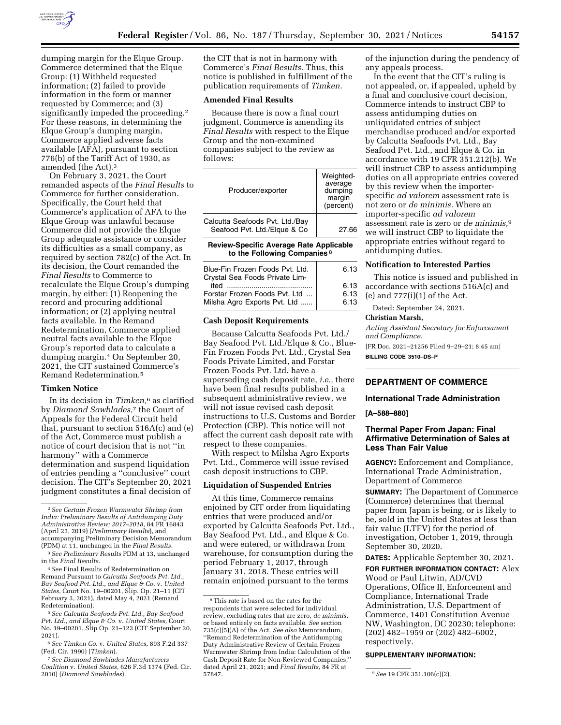

dumping margin for the Elque Group. Commerce determined that the Elque Group: (1) Withheld requested information; (2) failed to provide information in the form or manner requested by Commerce; and (3) significantly impeded the proceeding.<sup>2</sup> For these reasons, in determining the Elque Group's dumping margin, Commerce applied adverse facts available (AFA), pursuant to section 776(b) of the Tariff Act of 1930, as amended (the Act).3

On February 3, 2021, the Court remanded aspects of the *Final Results* to Commerce for further consideration. Specifically, the Court held that Commerce's application of AFA to the Elque Group was unlawful because Commerce did not provide the Elque Group adequate assistance or consider its difficulties as a small company, as required by section 782(c) of the Act. In its decision, the Court remanded the *Final Results* to Commerce to recalculate the Elque Group's dumping margin, by either: (1) Reopening the record and procuring additional information; or (2) applying neutral facts available. In the Remand Redetermination, Commerce applied neutral facts available to the Elque Group's reported data to calculate a dumping margin.4 On September 20, 2021, the CIT sustained Commerce's Remand Redetermination.5

## **Timken Notice**

In its decision in *Timken,*6 as clarified by *Diamond Sawblades,*7 the Court of Appeals for the Federal Circuit held that, pursuant to section 516A(c) and (e) of the Act, Commerce must publish a notice of court decision that is not ''in harmony'' with a Commerce determination and suspend liquidation of entries pending a ''conclusive'' court decision. The CIT's September 20, 2021 judgment constitutes a final decision of

the CIT that is not in harmony with Commerce's *Final Results.* Thus, this notice is published in fulfillment of the publication requirements of *Timken.* 

## **Amended Final Results**

Because there is now a final court judgment, Commerce is amending its *Final Results* with respect to the Elque Group and the non-examined companies subject to the review as follows:

| Producer/exporter                                                                         | Weighted-<br>average<br>dumping<br>margin<br>(percent) |
|-------------------------------------------------------------------------------------------|--------------------------------------------------------|
| Calcutta Seafoods Pvt. Ltd./Bay<br>Seafood Pvt. Ltd./Elgue & Co                           | 27.66                                                  |
| <b>Review-Specific Average Rate Applicable</b><br>to the Following Companies <sup>8</sup> |                                                        |
| Blue-Fin Frozen Foods Pvt. Ltd.<br>Crystal Sea Foods Private Lim-                         | 6.13                                                   |
| ited                                                                                      | 6.13                                                   |

| ited                          | 6.13 |
|-------------------------------|------|
| Forstar Frozen Foods Pvt. Ltd | 6.13 |
| Milsha Agro Exports Pvt. Ltd  | 6.13 |
|                               |      |

#### **Cash Deposit Requirements**

Because Calcutta Seafoods Pvt. Ltd./ Bay Seafood Pvt. Ltd./Elque & Co., Blue-Fin Frozen Foods Pvt. Ltd., Crystal Sea Foods Private Limited, and Forstar Frozen Foods Pvt. Ltd. have a superseding cash deposit rate, *i.e.,* there have been final results published in a subsequent administrative review, we will not issue revised cash deposit instructions to U.S. Customs and Border Protection (CBP). This notice will not affect the current cash deposit rate with respect to these companies.

With respect to Milsha Agro Exports Pvt. Ltd., Commerce will issue revised cash deposit instructions to CBP.

### **Liquidation of Suspended Entries**

At this time, Commerce remains enjoined by CIT order from liquidating entries that were produced and/or exported by Calcutta Seafoods Pvt. Ltd., Bay Seafood Pvt. Ltd., and Elque & Co. and were entered, or withdrawn from warehouse, for consumption during the period February 1, 2017, through January 31, 2018. These entries will remain enjoined pursuant to the terms

of the injunction during the pendency of any appeals process.

In the event that the CIT's ruling is not appealed, or, if appealed, upheld by a final and conclusive court decision, Commerce intends to instruct CBP to assess antidumping duties on unliquidated entries of subject merchandise produced and/or exported by Calcutta Seafoods Pvt. Ltd., Bay Seafood Pvt. Ltd., and Elque & Co. in accordance with 19 CFR 351.212(b). We will instruct CBP to assess antidumping duties on all appropriate entries covered by this review when the importerspecific *ad valorem* assessment rate is not zero or *de minimis.* Where an importer-specific *ad valorem*  assessment rate is zero or *de minimis,*9 we will instruct CBP to liquidate the appropriate entries without regard to antidumping duties.

# **Notification to Interested Parties**

This notice is issued and published in accordance with sections 516A(c) and (e) and  $777(i)(1)$  of the Act.

Dated: September 24, 2021.

#### **Christian Marsh,**

*Acting Assistant Secretary for Enforcement and Compliance.* 

[FR Doc. 2021–21256 Filed 9–29–21; 8:45 am] **BILLING CODE 3510–DS–P** 

# **DEPARTMENT OF COMMERCE**

#### **International Trade Administration**

# **[A–588–880]**

## **Thermal Paper From Japan: Final Affirmative Determination of Sales at Less Than Fair Value**

**AGENCY:** Enforcement and Compliance, International Trade Administration, Department of Commerce

**SUMMARY:** The Department of Commerce (Commerce) determines that thermal paper from Japan is being, or is likely to be, sold in the United States at less than fair value (LTFV) for the period of investigation, October 1, 2019, through September 30, 2020.

**DATES:** Applicable September 30, 2021.

**FOR FURTHER INFORMATION CONTACT:** Alex Wood or Paul Litwin, AD/CVD Operations, Office II, Enforcement and Compliance, International Trade Administration, U.S. Department of Commerce, 1401 Constitution Avenue NW, Washington, DC 20230; telephone: (202) 482–1959 or (202) 482–6002, respectively.

#### **SUPPLEMENTARY INFORMATION:**

<sup>2</sup>*See Certain Frozen Warmwater Shrimp from India: Preliminary Results of Antidumping Duty Administrative Review; 2017–2018,* 84 FR 16843 (April 23, 2019) (*Preliminary Results*), and accompanying Preliminary Decision Memorandum (PDM) at 11, unchanged in the *Final Results.* 

<sup>3</sup>*See Preliminary Results* PDM at 13, unchanged in the *Final Results.* 

<sup>4</sup>*See* Final Results of Redetermination on Remand Pursuant to *Calcutta Seafoods Pvt. Ltd., Bay Seafood Pvt. Ltd., and Elque & Co.* v. *United States,* Court No. 19–00201, Slip. Op. 21–11 (CIT February 3, 2021), dated May 4, 2021 (Remand Redetermination).

<sup>5</sup>*See Calcutta Seafoods Pvt. Ltd., Bay Seafood Pvt. Ltd., and Elque & Co.* v. *United States,* Court No. 19–00201, Slip Op. 21–123 (CIT September 20, 2021).

<sup>6</sup>*See Timken Co.* v. *United States,* 893 F.2d 337 (Fed. Cir. 1990) (*Timken*).

<sup>7</sup>*See Diamond Sawblades Manufacturers Coalition* v. *United States,* 626 F.3d 1374 (Fed. Cir. 2010) (*Diamond Sawblades*).

<sup>8</sup>This rate is based on the rates for the respondents that were selected for individual review, excluding rates that are zero, *de minimis,*  or based entirely on facts available. *See* section 735(c)(5)(A) of the Act. *See also* Memorandum, ''Remand Redetermination of the Antidumping Duty Administrative Review of Certain Frozen Warmwater Shrimp from India: Calculation of the Cash Deposit Rate for Non-Reviewed Companies,'' dated April 21, 2021; and *Final Results,* 84 FR at

<sup>&</sup>lt;sup>9</sup> See 19 CFR 351.106(c)(2).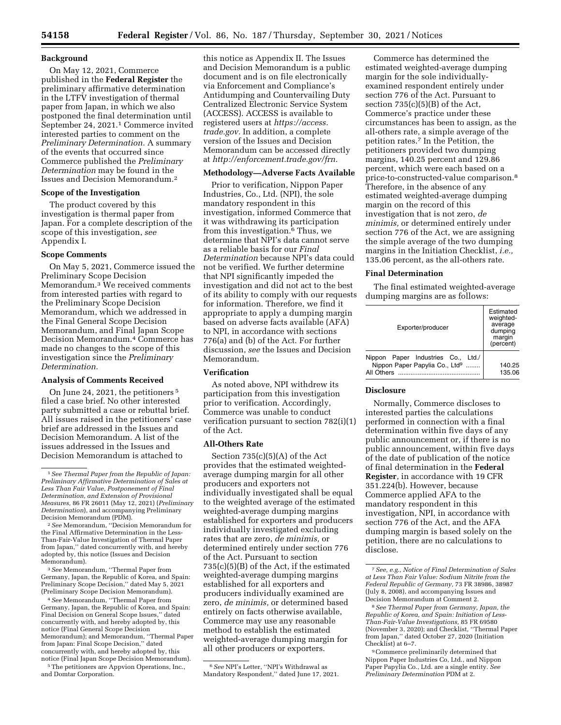## **Background**

On May 12, 2021, Commerce published in the **Federal Register** the preliminary affirmative determination in the LTFV investigation of thermal paper from Japan, in which we also postponed the final determination until September 24, 2021.1 Commerce invited interested parties to comment on the *Preliminary Determination.* A summary of the events that occurred since Commerce published the *Preliminary Determination* may be found in the Issues and Decision Memorandum.2

### **Scope of the Investigation**

The product covered by this investigation is thermal paper from Japan. For a complete description of the scope of this investigation, *see*  Appendix I.

### **Scope Comments**

On May 5, 2021, Commerce issued the Preliminary Scope Decision Memorandum.3 We received comments from interested parties with regard to the Preliminary Scope Decision Memorandum, which we addressed in the Final General Scope Decision Memorandum, and Final Japan Scope Decision Memorandum.4 Commerce has made no changes to the scope of this investigation since the *Preliminary Determination.* 

### **Analysis of Comments Received**

On June 24, 2021, the petitioners 5 filed a case brief. No other interested party submitted a case or rebuttal brief. All issues raised in the petitioners' case brief are addressed in the Issues and Decision Memorandum. A list of the issues addressed in the Issues and Decision Memorandum is attached to

4*See* Memorandum, ''Thermal Paper from Germany, Japan, the Republic of Korea, and Spain: Final Decision on General Scope Issues,'' dated concurrently with, and hereby adopted by, this notice (Final General Scope Decision Memorandum); and Memorandum, ''Thermal Paper from Japan: Final Scope Decision,'' dated concurrently with, and hereby adopted by, this notice (Final Japan Scope Decision Memorandum). 5The petitioners are Appvion Operations, Inc.,

and Domtar Corporation.

this notice as Appendix II. The Issues and Decision Memorandum is a public document and is on file electronically via Enforcement and Compliance's Antidumping and Countervailing Duty Centralized Electronic Service System (ACCESS). ACCESS is available to registered users at *https://access. trade.gov.* In addition, a complete version of the Issues and Decision Memorandum can be accessed directly at *http://enforcement.trade.gov/frn.* 

#### **Methodology—Adverse Facts Available**

Prior to verification, Nippon Paper Industries, Co., Ltd. (NPI), the sole mandatory respondent in this investigation, informed Commerce that it was withdrawing its participation from this investigation.6 Thus, we determine that NPI's data cannot serve as a reliable basis for our *Final Determination* because NPI's data could not be verified. We further determine that NPI significantly impeded the investigation and did not act to the best of its ability to comply with our requests for information. Therefore, we find it appropriate to apply a dumping margin based on adverse facts available (AFA) to NPI, in accordance with sections 776(a) and (b) of the Act. For further discussion, *see* the Issues and Decision Memorandum.

# **Verification**

As noted above, NPI withdrew its participation from this investigation prior to verification. Accordingly, Commerce was unable to conduct verification pursuant to section 782(i)(1) of the Act.

### **All-Others Rate**

Section  $735(c)(5)(A)$  of the Act provides that the estimated weightedaverage dumping margin for all other producers and exporters not individually investigated shall be equal to the weighted average of the estimated weighted-average dumping margins established for exporters and producers individually investigated excluding rates that are zero, *de minimis,* or determined entirely under section 776 of the Act. Pursuant to section 735(c)(5)(B) of the Act, if the estimated weighted-average dumping margins established for all exporters and producers individually examined are zero, *de minimis,* or determined based entirely on facts otherwise available, Commerce may use any reasonable method to establish the estimated weighted-average dumping margin for all other producers or exporters.

6*See* NPI's Letter, ''NPI's Withdrawal as Mandatory Respondent,'' dated June 17, 2021.

Commerce has determined the estimated weighted-average dumping margin for the sole individuallyexamined respondent entirely under section 776 of the Act. Pursuant to section  $735(c)(5)(B)$  of the Act, Commerce's practice under these circumstances has been to assign, as the all-others rate, a simple average of the petition rates.7 In the Petition, the petitioners provided two dumping margins, 140.25 percent and 129.86 percent, which were each based on a price-to-constructed-value comparison.8 Therefore, in the absence of any estimated weighted-average dumping margin on the record of this investigation that is not zero, *de minimis,* or determined entirely under section 776 of the Act, we are assigning the simple average of the two dumping margins in the Initiation Checklist, *i.e.,*  135.06 percent, as the all-others rate.

#### **Final Determination**

The final estimated weighted-average dumping margins are as follows:

| Exporter/producer                                                                                | Estimated<br>weighted-<br>average<br>dumping<br>margin<br>(percent) |
|--------------------------------------------------------------------------------------------------|---------------------------------------------------------------------|
| Nippon Paper Industries Co.,<br>Ltd.<br>Nippon Paper Papylia Co., Ltd <sup>9</sup><br>All Others | 140.25<br>135.06                                                    |

## **Disclosure**

Normally, Commerce discloses to interested parties the calculations performed in connection with a final determination within five days of any public announcement or, if there is no public announcement, within five days of the date of publication of the notice of final determination in the **Federal Register**, in accordance with 19 CFR 351.224(b). However, because Commerce applied AFA to the mandatory respondent in this investigation, NPI, in accordance with section 776 of the Act, and the AFA dumping margin is based solely on the petition, there are no calculations to disclose.

<sup>1</sup>*See Thermal Paper from the Republic of Japan: Preliminary Affirmative Determination of Sales at Less Than Fair Value, Postponement of Final Determination, and Extension of Provisional Measures,* 86 FR 26011 (May 12, 2021) (*Preliminary Determination*), and accompanying Preliminary Decision Memorandum (PDM).

<sup>2</sup>*See* Memorandum, ''Decision Memorandum for the Final Affirmative Determination in the Less-Than-Fair-Value Investigation of Thermal Paper from Japan,'' dated concurrently with, and hereby adopted by, this notice (Issues and Decision Memorandum).

<sup>3</sup>*See* Memorandum, ''Thermal Paper from Germany, Japan, the Republic of Korea, and Spain: Preliminary Scope Decision,'' dated May 5, 2021 (Preliminary Scope Decision Memorandum).

<sup>7</sup>*See, e.g., Notice of Final Determination of Sales at Less Than Fair Value: Sodium Nitrite from the Federal Republic of Germany,* 73 FR 38986, 38987 (July 8, 2008), and accompanying Issues and Decision Memorandum at Comment 2.

<sup>8</sup>*See Thermal Paper from Germany, Japan, the Republic of Korea, and Spain: Initiation of Less-Than-Fair-Value Investigations,* 85 FR 69580 (November 3, 2020); and Checklist, ''Thermal Paper from Japan,'' dated October 27, 2020 (Initiation Checklist) at 6–7.

<sup>9</sup>Commerce preliminarily determined that Nippon Paper Industries Co, Ltd., and Nippon Paper Papylia Co., Ltd. are a single entity. *See Preliminary Determination* PDM at 2.